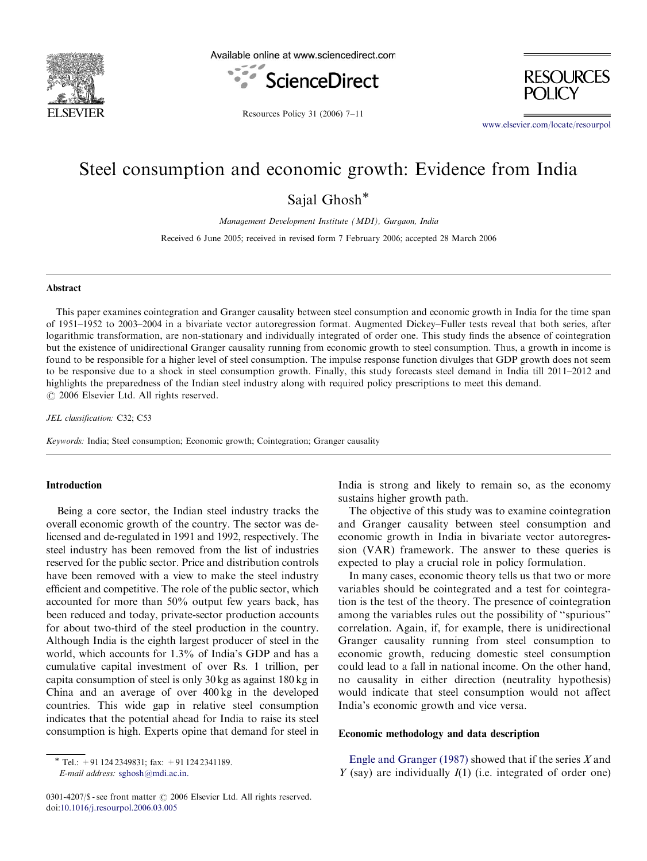

Available online at www.sciencedirect.com





Resources Policy 31 (2006) 7–11

<www.elsevier.com/locate/resourpol>

# Steel consumption and economic growth: Evidence from India

Sajal Ghosh\*

Management Development Institute (MDI), Gurgaon, India

Received 6 June 2005; received in revised form 7 February 2006; accepted 28 March 2006

#### Abstract

This paper examines cointegration and Granger causality between steel consumption and economic growth in India for the time span of 1951–1952 to 2003–2004 in a bivariate vector autoregression format. Augmented Dickey–Fuller tests reveal that both series, after logarithmic transformation, are non-stationary and individually integrated of order one. This study finds the absence of cointegration but the existence of unidirectional Granger causality running from economic growth to steel consumption. Thus, a growth in income is found to be responsible for a higher level of steel consumption. The impulse response function divulges that GDP growth does not seem to be responsive due to a shock in steel consumption growth. Finally, this study forecasts steel demand in India till 2011–2012 and highlights the preparedness of the Indian steel industry along with required policy prescriptions to meet this demand.  $C$  2006 Elsevier Ltd. All rights reserved.

JEL classification: C32; C53

Keywords: India; Steel consumption; Economic growth; Cointegration; Granger causality

## Introduction

Being a core sector, the Indian steel industry tracks the overall economic growth of the country. The sector was delicensed and de-regulated in 1991 and 1992, respectively. The steel industry has been removed from the list of industries reserved for the public sector. Price and distribution controls have been removed with a view to make the steel industry efficient and competitive. The role of the public sector, which accounted for more than 50% output few years back, has been reduced and today, private-sector production accounts for about two-third of the steel production in the country. Although India is the eighth largest producer of steel in the world, which accounts for 1.3% of India's GDP and has a cumulative capital investment of over Rs. 1 trillion, per capita consumption of steel is only 30 kg as against 180 kg in China and an average of over 400 kg in the developed countries. This wide gap in relative steel consumption indicates that the potential ahead for India to raise its steel consumption is high. Experts opine that demand for steel in

0301-4207/\$ - see front matter © 2006 Elsevier Ltd. All rights reserved. doi:[10.1016/j.resourpol.2006.03.005](dx.doi.org/10.1016/j.resourpol.2006.03.005)

India is strong and likely to remain so, as the economy sustains higher growth path.

The objective of this study was to examine cointegration and Granger causality between steel consumption and economic growth in India in bivariate vector autoregression (VAR) framework. The answer to these queries is expected to play a crucial role in policy formulation.

In many cases, economic theory tells us that two or more variables should be cointegrated and a test for cointegration is the test of the theory. The presence of cointegration among the variables rules out the possibility of ''spurious'' correlation. Again, if, for example, there is unidirectional Granger causality running from steel consumption to economic growth, reducing domestic steel consumption could lead to a fall in national income. On the other hand, no causality in either direction (neutrality hypothesis) would indicate that steel consumption would not affect India's economic growth and vice versa.

## Economic methodology and data description

[Engle and Granger \(1987\)](#page--1-0) showed that if the series X and  $Y$  (say) are individually  $I(1)$  (i.e. integrated of order one)

Tel.: +91 124 2349831; fax: +91 124 2341189. E-mail address: [sghosh@mdi.ac.in.](mailto:sghosh@mdi.ac.in)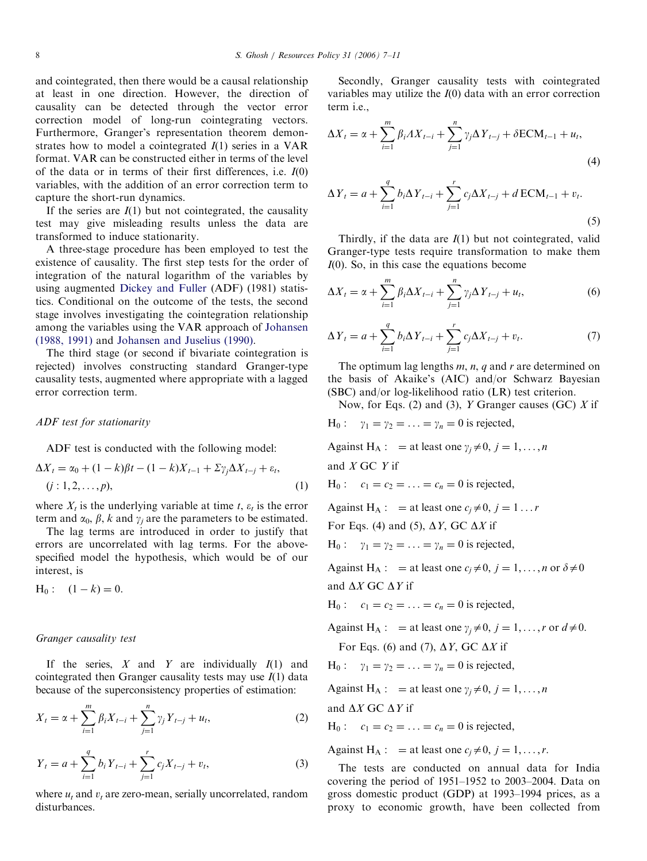and cointegrated, then there would be a causal relationship at least in one direction. However, the direction of causality can be detected through the vector error correction model of long-run cointegrating vectors. Furthermore, Granger's representation theorem demonstrates how to model a cointegrated  $I(1)$  series in a VAR format. VAR can be constructed either in terms of the level of the data or in terms of their first differences, i.e.  $I(0)$ variables, with the addition of an error correction term to capture the short-run dynamics.

If the series are  $I(1)$  but not cointegrated, the causality test may give misleading results unless the data are transformed to induce stationarity.

A three-stage procedure has been employed to test the existence of causality. The first step tests for the order of integration of the natural logarithm of the variables by using augmented [Dickey and Fuller](#page--1-0) (ADF) (1981) statistics. Conditional on the outcome of the tests, the second stage involves investigating the cointegration relationship among the variables using the VAR approach of [Johansen](#page--1-0) [\(1988, 1991\)](#page--1-0) and [Johansen and Juselius \(1990\)](#page--1-0).

The third stage (or second if bivariate cointegration is rejected) involves constructing standard Granger-type causality tests, augmented where appropriate with a lagged error correction term.

### ADF test for stationarity

ADF test is conducted with the following model:

$$
\Delta X_t = \alpha_0 + (1 - k)\beta t - (1 - k)X_{t-1} + \Sigma \gamma_j \Delta X_{t-j} + \varepsilon_t,
$$
  
(*j* : 1, 2, ..., *p*), (1)

where  $X_t$  is the underlying variable at time t,  $\varepsilon_t$  is the error term and  $\alpha_0$ ,  $\beta$ ,  $k$  and  $\gamma_i$  are the parameters to be estimated.

The lag terms are introduced in order to justify that errors are uncorrelated with lag terms. For the abovespecified model the hypothesis, which would be of our interest, is

 $H_0: (1-k) = 0.$ 

#### Granger causality test

If the series,  $X$  and  $Y$  are individually  $I(1)$  and cointegrated then Granger causality tests may use  $I(1)$  data because of the superconsistency properties of estimation:

$$
X_{t} = \alpha + \sum_{i=1}^{m} \beta_{i} X_{t-i} + \sum_{j=1}^{n} \gamma_{j} Y_{t-j} + u_{t},
$$
\n(2)

$$
Y_{t} = a + \sum_{i=1}^{q} b_{i} Y_{t-i} + \sum_{j=1}^{r} c_{j} X_{t-j} + v_{t},
$$
\n(3)

where  $u_t$  and  $v_t$  are zero-mean, serially uncorrelated, random disturbances.

Secondly, Granger causality tests with cointegrated variables may utilize the  $I(0)$  data with an error correction term i.e.,

$$
\Delta X_t = \alpha + \sum_{i=1}^m \beta_i A X_{t-i} + \sum_{j=1}^n \gamma_j \Delta Y_{t-j} + \delta ECM_{t-1} + u_t,
$$
\n(4)

$$
\Delta Y_t = a + \sum_{i=1}^{q} b_i \Delta Y_{t-i} + \sum_{j=1}^{r} c_j \Delta X_{t-j} + d \operatorname{ECM}_{t-1} + v_t.
$$
\n(5)

Thirdly, if the data are  $I(1)$  but not cointegrated, valid Granger-type tests require transformation to make them  $I(0)$ . So, in this case the equations become

$$
\Delta X_t = \alpha + \sum_{i=1}^m \beta_i \Delta X_{t-i} + \sum_{j=1}^n \gamma_j \Delta Y_{t-j} + u_t,\tag{6}
$$

$$
\Delta Y_t = a + \sum_{i=1}^q b_i \Delta Y_{t-i} + \sum_{j=1}^r c_j \Delta X_{t-j} + v_t.
$$
 (7)

The optimum lag lengths  $m$ ,  $n$ ,  $q$  and  $r$  are determined on the basis of Akaike's (AIC) and/or Schwarz Bayesian (SBC) and/or log-likelihood ratio (LR) test criterion.

Now, for Eqs. (2) and (3),  $Y$  Granger causes (GC)  $X$  if

 $H_0: \quad \gamma_1 = \gamma_2 = \ldots = \gamma_n = 0$  is rejected,

Against H<sub>A</sub> : = at least one  $\gamma_i \neq 0, j = 1, ..., n$ 

and  $X$  GC  $Y$  if

 $H_0: c_1 = c_2 = ... = c_n = 0$  is rejected,

Against H<sub>A</sub>:  $=$  at least one  $c_i \neq 0$ ,  $j = 1...r$ 

For Eqs. (4) and (5),  $\Delta Y$ , GC  $\Delta X$  if

 $H_0: \quad \gamma_1 = \gamma_2 = \ldots = \gamma_n = 0$  is rejected,

Against H<sub>A</sub> : = at least one  $c_j \neq 0$ ,  $j = 1, ..., n$  or  $\delta \neq 0$ and  $\Delta X$  GC  $\Delta Y$  if

 $H_0: c_1 = c_2 = ... = c_n = 0$  is rejected,

Against H<sub>A</sub> : = at least one  $\gamma_i \neq 0$ ,  $j = 1, ..., r$  or  $d \neq 0$ .

For Eqs. (6) and (7),  $\Delta Y$ , GC  $\Delta X$  if

H<sub>0</sub>: 
$$
\gamma_1 = \gamma_2 = \ldots = \gamma_n = 0
$$
 is rejected,

Against H<sub>A</sub> : = at least one  $\gamma_i \neq 0, j = 1, ..., n$ 

and  $\Delta X$  GC  $\Delta Y$  if

 $H_0: c_1 = c_2 = ... = c_n = 0$  is rejected,

Against H<sub>A</sub> : = at least one  $c_i \neq 0$ ,  $j = 1, ..., r$ .

The tests are conducted on annual data for India covering the period of 1951–1952 to 2003–2004. Data on gross domestic product (GDP) at 1993–1994 prices, as a proxy to economic growth, have been collected from